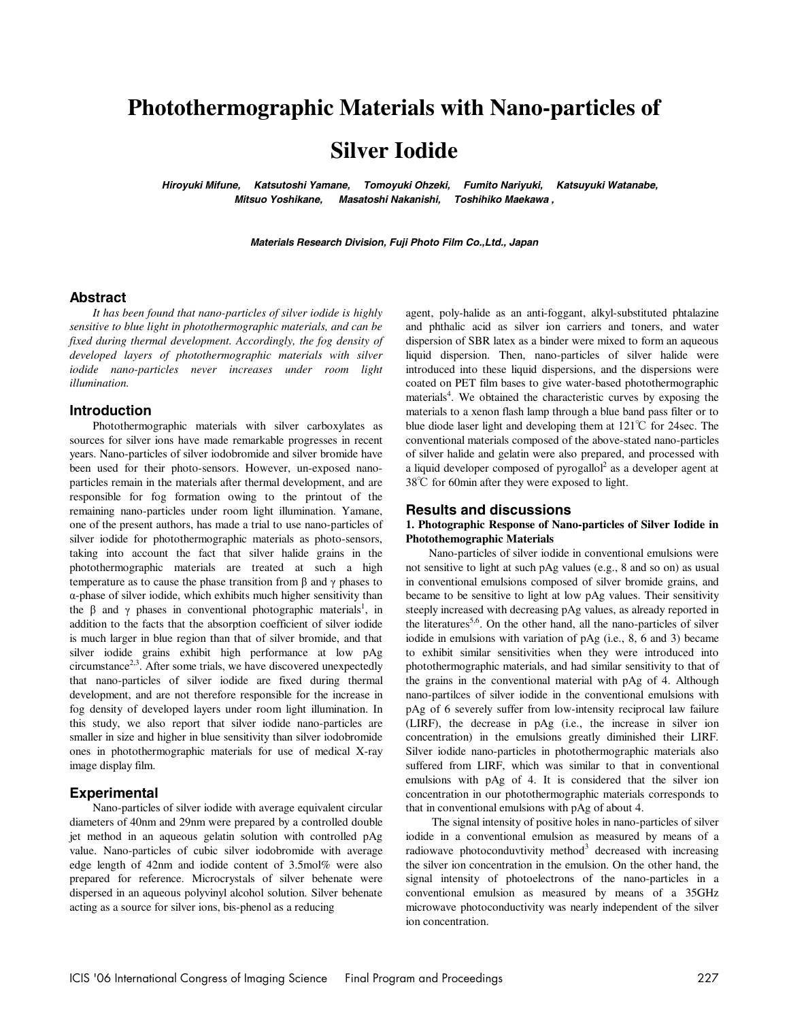## **Photothermographic Materials with Nano-particles of**

# **Silver Iodide**

 **Hiroyuki Mifune, Katsutoshi Yamane, Tomoyuki Ohzeki, Fumito Nariyuki, Katsuyuki Watanabe, Mitsuo Yoshikane, Masatoshi Nakanishi, Toshihiko Maekawa ,** 

**Materials Research Division, Fuji Photo Film Co.,Ltd., Japan** 

#### **Abstract**

*It has been found that nano-particles of silver iodide is highly sensitive to blue light in photothermographic materials, and can be fixed during thermal development. Accordingly, the fog density of developed layers of photothermographic materials with silver iodide nano-particles never increases under room light illumination.* 

#### **Introduction**

Photothermographic materials with silver carboxylates as sources for silver ions have made remarkable progresses in recent years. Nano-particles of silver iodobromide and silver bromide have been used for their photo-sensors. However, un-exposed nanoparticles remain in the materials after thermal development, and are responsible for fog formation owing to the printout of the remaining nano-particles under room light illumination. Yamane, one of the present authors, has made a trial to use nano-particles of silver iodide for photothermographic materials as photo-sensors, taking into account the fact that silver halide grains in the photothermographic materials are treated at such a high temperature as to cause the phase transition from β and  $γ$  phases to α-phase of silver iodide, which exhibits much higher sensitivity than the  $\beta$  and  $\gamma$  phases in conventional photographic materials<sup>1</sup>, in addition to the facts that the absorption coefficient of silver iodide is much larger in blue region than that of silver bromide, and that silver iodide grains exhibit high performance at low pAg circumstance<sup>2,3</sup>. After some trials, we have discovered unexpectedly that nano-particles of silver iodide are fixed during thermal development, and are not therefore responsible for the increase in fog density of developed layers under room light illumination. In this study, we also report that silver iodide nano-particles are smaller in size and higher in blue sensitivity than silver iodobromide ones in photothermographic materials for use of medical X-ray image display film.

#### **Experimental**

Nano-particles of silver iodide with average equivalent circular diameters of 40nm and 29nm were prepared by a controlled double jet method in an aqueous gelatin solution with controlled pAg value. Nano-particles of cubic silver iodobromide with average edge length of 42nm and iodide content of 3.5mol% were also prepared for reference. Microcrystals of silver behenate were dispersed in an aqueous polyvinyl alcohol solution. Silver behenate acting as a source for silver ions, bis-phenol as a reducing

agent, poly-halide as an anti-foggant, alkyl-substituted phtalazine and phthalic acid as silver ion carriers and toners, and water dispersion of SBR latex as a binder were mixed to form an aqueous liquid dispersion. Then, nano-particles of silver halide were introduced into these liquid dispersions, and the dispersions were coated on PET film bases to give water-based photothermographic materials<sup>4</sup>. We obtained the characteristic curves by exposing the materials to a xenon flash lamp through a blue band pass filter or to blue diode laser light and developing them at 121℃ for 24sec. The conventional materials composed of the above-stated nano-particles of silver halide and gelatin were also prepared, and processed with a liquid developer composed of pyrogallol<sup>2</sup> as a developer agent at 38℃ for 60min after they were exposed to light.

#### **Results and discussions**

#### **1. Photographic Response of Nano-particles of Silver Iodide in Photothemographic Materials**

Nano-particles of silver iodide in conventional emulsions were not sensitive to light at such pAg values (e.g., 8 and so on) as usual in conventional emulsions composed of silver bromide grains, and became to be sensitive to light at low pAg values. Their sensitivity steeply increased with decreasing pAg values, as already reported in the literatures<sup>5,6</sup>. On the other hand, all the nano-particles of silver iodide in emulsions with variation of pAg (i.e., 8, 6 and 3) became to exhibit similar sensitivities when they were introduced into photothermographic materials, and had similar sensitivity to that of the grains in the conventional material with pAg of 4. Although nano-partilces of silver iodide in the conventional emulsions with pAg of 6 severely suffer from low-intensity reciprocal law failure (LIRF), the decrease in pAg (i.e., the increase in silver ion concentration) in the emulsions greatly diminished their LIRF. Silver iodide nano-particles in photothermographic materials also suffered from LIRF, which was similar to that in conventional emulsions with pAg of 4. It is considered that the silver ion concentration in our photothermographic materials corresponds to that in conventional emulsions with pAg of about 4.

 The signal intensity of positive holes in nano-particles of silver iodide in a conventional emulsion as measured by means of a radiowave photoconduvtivity method<sup>3</sup> decreased with increasing the silver ion concentration in the emulsion. On the other hand, the signal intensity of photoelectrons of the nano-particles in a conventional emulsion as measured by means of a 35GHz microwave photoconductivity was nearly independent of the silver ion concentration.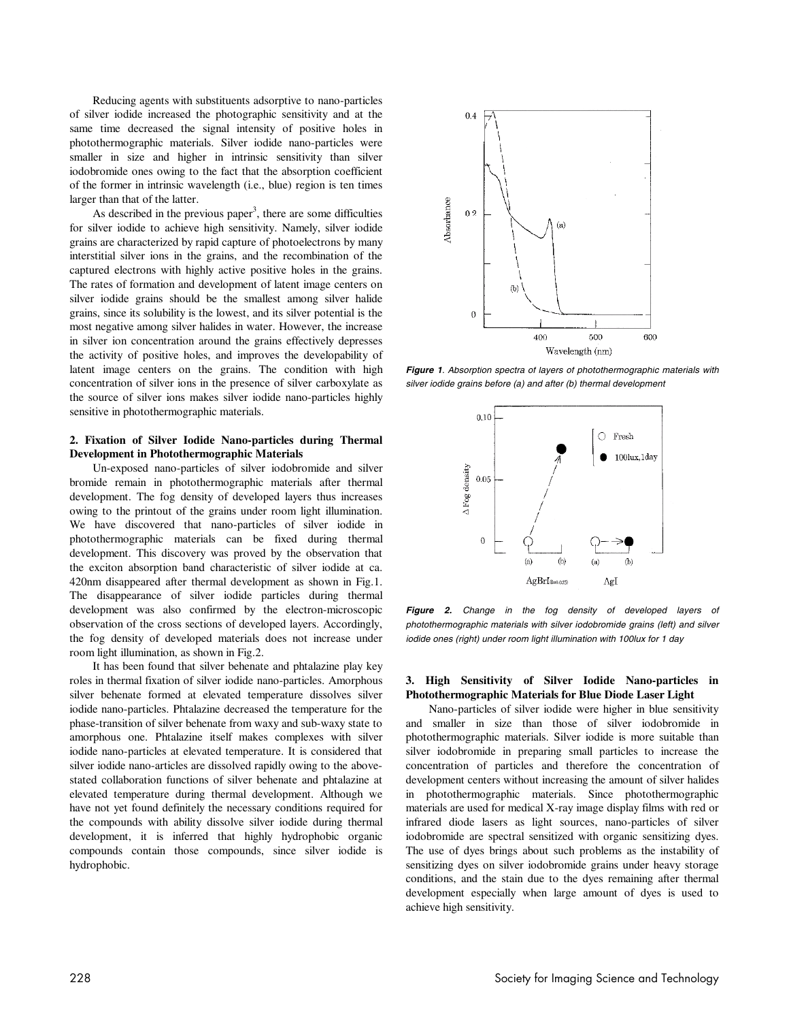Reducing agents with substituents adsorptive to nano-particles of silver iodide increased the photographic sensitivity and at the same time decreased the signal intensity of positive holes in photothermographic materials. Silver iodide nano-particles were smaller in size and higher in intrinsic sensitivity than silver iodobromide ones owing to the fact that the absorption coefficient of the former in intrinsic wavelength (i.e., blue) region is ten times larger than that of the latter.

As described in the previous paper<sup>3</sup>, there are some difficulties for silver iodide to achieve high sensitivity. Namely, silver iodide grains are characterized by rapid capture of photoelectrons by many interstitial silver ions in the grains, and the recombination of the captured electrons with highly active positive holes in the grains. The rates of formation and development of latent image centers on silver iodide grains should be the smallest among silver halide grains, since its solubility is the lowest, and its silver potential is the most negative among silver halides in water. However, the increase in silver ion concentration around the grains effectively depresses the activity of positive holes, and improves the developability of latent image centers on the grains. The condition with high concentration of silver ions in the presence of silver carboxylate as the source of silver ions makes silver iodide nano-particles highly sensitive in photothermographic materials.

#### **2. Fixation of Silver Iodide Nano-particles during Thermal Development in Photothermographic Materials**

Un-exposed nano-particles of silver iodobromide and silver bromide remain in photothermographic materials after thermal development. The fog density of developed layers thus increases owing to the printout of the grains under room light illumination. We have discovered that nano-particles of silver iodide in photothermographic materials can be fixed during thermal development. This discovery was proved by the observation that the exciton absorption band characteristic of silver iodide at ca. 420nm disappeared after thermal development as shown in Fig.1. The disappearance of silver iodide particles during thermal development was also confirmed by the electron-microscopic observation of the cross sections of developed layers. Accordingly, the fog density of developed materials does not increase under room light illumination, as shown in Fig.2.

It has been found that silver behenate and phtalazine play key roles in thermal fixation of silver iodide nano-particles. Amorphous silver behenate formed at elevated temperature dissolves silver iodide nano-particles. Phtalazine decreased the temperature for the phase-transition of silver behenate from waxy and sub-waxy state to amorphous one. Phtalazine itself makes complexes with silver iodide nano-particles at elevated temperature. It is considered that silver iodide nano-articles are dissolved rapidly owing to the abovestated collaboration functions of silver behenate and phtalazine at elevated temperature during thermal development. Although we have not yet found definitely the necessary conditions required for the compounds with ability dissolve silver iodide during thermal development, it is inferred that highly hydrophobic organic compounds contain those compounds, since silver iodide is hydrophobic.



**Figure 1**. Absorption spectra of layers of photothermographic materials with silver iodide grains before (a) and after (b) thermal development



**Figure 2.** Change in the fog density of developed layers of photothermographic materials with silver iodobromide grains (left) and silver iodide ones (right) under room light illumination with 100lux for 1 day

#### **3. High Sensitivity of Silver Iodide Nano-particles in Photothermographic Materials for Blue Diode Laser Light**

Nano-particles of silver iodide were higher in blue sensitivity and smaller in size than those of silver iodobromide in photothermographic materials. Silver iodide is more suitable than silver iodobromide in preparing small particles to increase the concentration of particles and therefore the concentration of development centers without increasing the amount of silver halides in photothermographic materials. Since photothermographic materials are used for medical X-ray image display films with red or infrared diode lasers as light sources, nano-particles of silver iodobromide are spectral sensitized with organic sensitizing dyes. The use of dyes brings about such problems as the instability of sensitizing dyes on silver iodobromide grains under heavy storage conditions, and the stain due to the dyes remaining after thermal development especially when large amount of dyes is used to achieve high sensitivity.